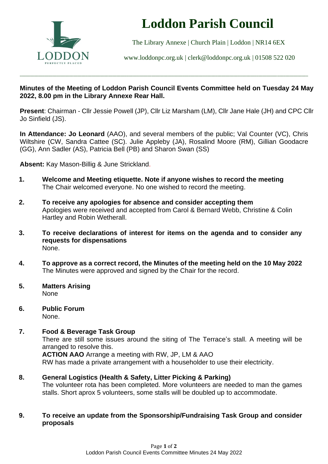

# **Loddon Parish Council**

The Library Annexe | Church Plain | Loddon | NR14 6EX

[www.loddonpc.org.uk](http://www.loddonpc.org.uk/) | [clerk@loddonpc.org.uk](mailto:clerk@loddonpc.org.uk) | 01508 522 020

## **Minutes of the Meeting of Loddon Parish Council Events Committee held on Tuesday 24 May 2022, 8.00 pm in the Library Annexe Rear Hall.**

\_\_\_\_\_\_\_\_\_\_\_\_\_\_\_\_\_\_\_\_\_\_\_\_\_\_\_\_\_\_\_\_\_\_\_\_\_\_\_\_\_\_\_\_\_\_\_\_\_\_\_\_\_\_\_\_\_\_\_\_\_\_\_\_\_\_\_\_\_\_\_\_\_\_\_\_\_\_\_\_\_\_\_\_\_\_\_\_\_\_\_\_\_\_\_\_\_\_\_\_\_\_\_\_\_\_\_\_\_\_\_\_\_\_\_\_\_\_\_\_\_\_\_\_\_\_\_\_\_\_\_\_\_\_\_\_\_\_\_\_

**Present**: Chairman - Cllr Jessie Powell (JP), Cllr Liz Marsham (LM), Cllr Jane Hale (JH) and CPC Cllr Jo Sinfield (JS).

**In Attendance: Jo Leonard** (AAO), and several members of the public; Val Counter (VC), Chris Wiltshire (CW, Sandra Cattee (SC). Julie Appleby (JA), Rosalind Moore (RM), Gillian Goodacre (GG), Ann Sadler (AS), Patricia Bell (PB) and Sharon Swan (SS)

**Absent:** Kay Mason-Billig & June Strickland.

- **1. Welcome and Meeting etiquette. Note if anyone wishes to record the meeting** The Chair welcomed everyone. No one wished to record the meeting.
- **2. To receive any apologies for absence and consider accepting them** Apologies were received and accepted from Carol & Bernard Webb, Christine & Colin Hartley and Robin Wetherall.
- **3. To receive declarations of interest for items on the agenda and to consider any requests for dispensations** None.
- **4. To approve as a correct record, the Minutes of the meeting held on the 10 May 2022** The Minutes were approved and signed by the Chair for the record.
- **5. Matters Arising** None
- **6. Public Forum** None.

### **7. Food & Beverage Task Group**

There are still some issues around the siting of The Terrace's stall. A meeting will be arranged to resolve this.

**ACTION AAO** Arrange a meeting with RW, JP, LM & AAO RW has made a private arrangement with a householder to use their electricity.

### **8. General Logistics (Health & Safety, Litter Picking & Parking)**

The volunteer rota has been completed. More volunteers are needed to man the games stalls. Short aprox 5 volunteers, some stalls will be doubled up to accommodate.

### **9. To receive an update from the Sponsorship/Fundraising Task Group and consider proposals**